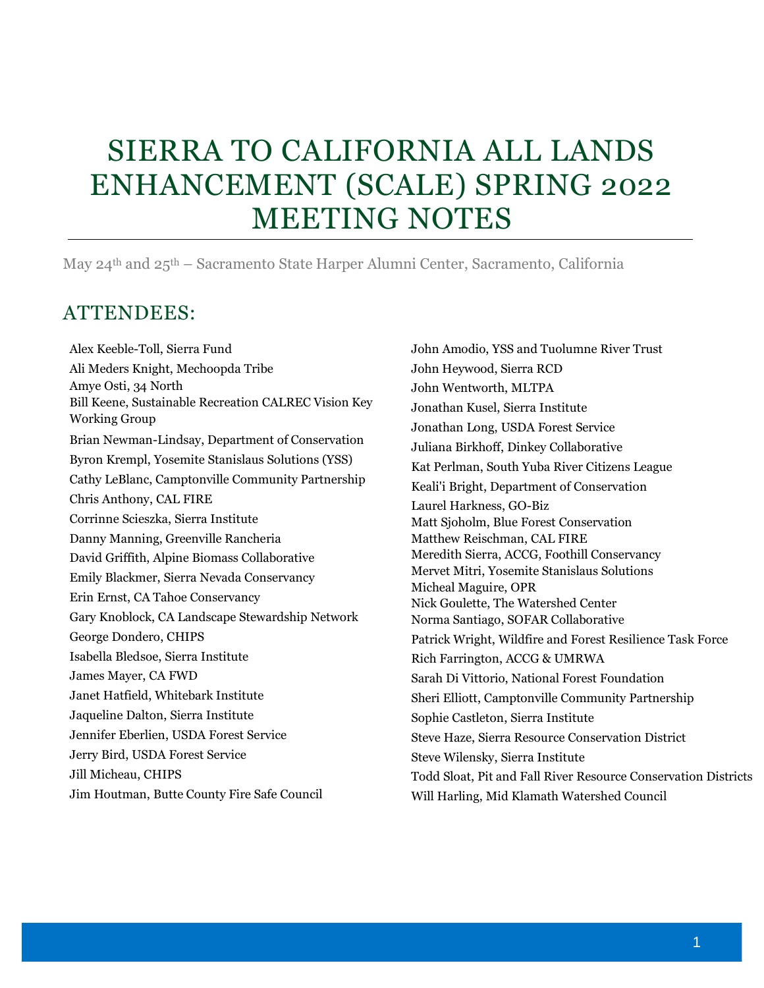# SIERRA TO CALIFORNIA ALL LANDS ENHANCEMENT (SCALE) SPRING 2022 MEETING NOTES

May 24th and 25th – Sacramento State Harper Alumni Center, Sacramento, California

## ATTENDEES:

Alex Keeble-Toll, Sierra Fund Ali Meders Knight, Mechoopda Tribe Amye Osti, 34 North Bill Keene, Sustainable Recreation CALREC Vision Key Working Group Brian Newman-Lindsay, Department of Conservation Byron Krempl, Yosemite Stanislaus Solutions (YSS) Cathy LeBlanc, Camptonville Community Partnership Chris Anthony, CAL FIRE Corrinne Scieszka, Sierra Institute Danny Manning, Greenville Rancheria David Griffith, Alpine Biomass Collaborative Emily Blackmer, Sierra Nevada Conservancy Erin Ernst, CA Tahoe Conservancy Gary Knoblock, CA Landscape Stewardship Network George Dondero, CHIPS Isabella Bledsoe, Sierra Institute James Mayer, CA FWD Janet Hatfield, Whitebark Institute Jaqueline Dalton, Sierra Institute Jennifer Eberlien, USDA Forest Service Jerry Bird, USDA Forest Service Jill Micheau, CHIPS Jim Houtman, Butte County Fire Safe Council

John Amodio, YSS and Tuolumne River Trust John Heywood, Sierra RCD John Wentworth, MLTPA Jonathan Kusel, Sierra Institute Jonathan Long, USDA Forest Service Juliana Birkhoff, Dinkey Collaborative Kat Perlman, South Yuba River Citizens League Keali'i Bright, Department of Conservation Laurel Harkness, GO-Biz Matt Sjoholm, Blue Forest Conservation Matthew Reischman, CAL FIRE Meredith Sierra, ACCG, Foothill Conservancy Mervet Mitri, Yosemite Stanislaus Solutions Micheal Maguire, OPR Nick Goulette, The Watershed Center Norma Santiago, SOFAR Collaborative Patrick Wright, Wildfire and Forest Resilience Task Force Rich Farrington, ACCG & UMRWA Sarah Di Vittorio, National Forest Foundation Sheri Elliott, Camptonville Community Partnership Sophie Castleton, Sierra Institute Steve Haze, Sierra Resource Conservation District Steve Wilensky, Sierra Institute Todd Sloat, Pit and Fall River Resource Conservation Districts Will Harling, Mid Klamath Watershed Council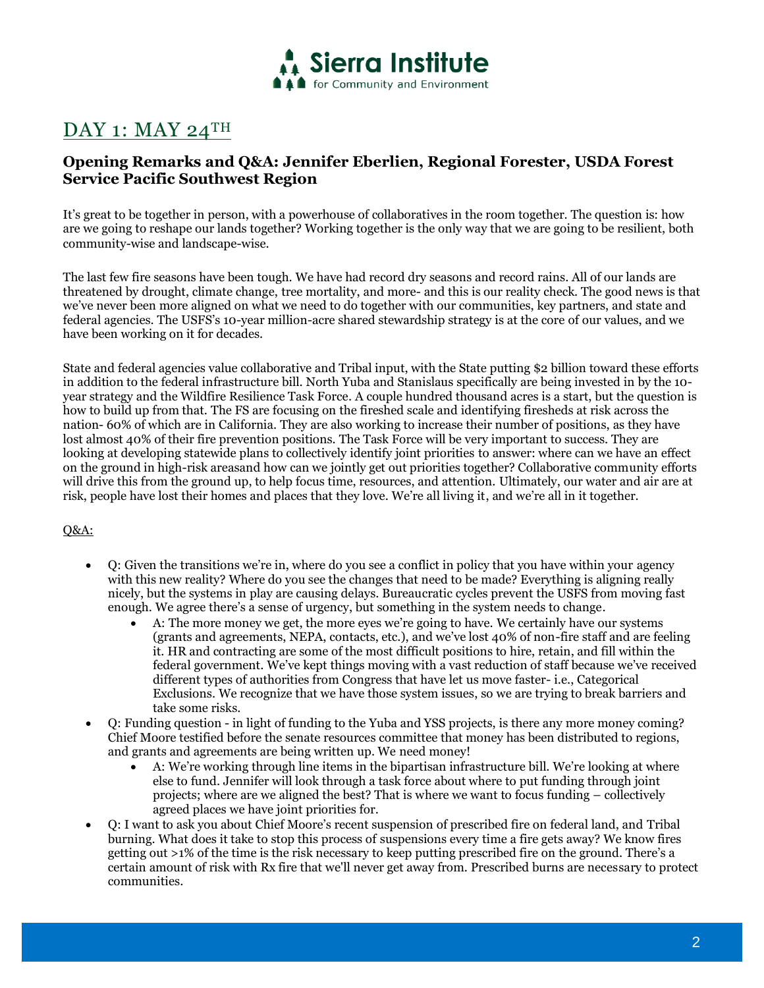

## DAY 1: MAY 24TH

## **Opening Remarks and Q&A: Jennifer Eberlien, Regional Forester, USDA Forest Service Pacific Southwest Region**

It's great to be together in person, with a powerhouse of collaboratives in the room together. The question is: how are we going to reshape our lands together? Working together is the only way that we are going to be resilient, both community-wise and landscape-wise.

The last few fire seasons have been tough. We have had record dry seasons and record rains. All of our lands are threatened by drought, climate change, tree mortality, and more- and this is our reality check. The good news is that we've never been more aligned on what we need to do together with our communities, key partners, and state and federal agencies. The USFS's 10-year million-acre shared stewardship strategy is at the core of our values, and we have been working on it for decades.

State and federal agencies value collaborative and Tribal input, with the State putting \$2 billion toward these efforts in addition to the federal infrastructure bill. North Yuba and Stanislaus specifically are being invested in by the 10 year strategy and the Wildfire Resilience Task Force. A couple hundred thousand acres is a start, but the question is how to build up from that. The FS are focusing on the fireshed scale and identifying firesheds at risk across the nation- 60% of which are in California. They are also working to increase their number of positions, as they have lost almost 40% of their fire prevention positions. The Task Force will be very important to success. They are looking at developing statewide plans to collectively identify joint priorities to answer: where can we have an effect on the ground in high-risk areasand how can we jointly get out priorities together? Collaborative community efforts will drive this from the ground up, to help focus time, resources, and attention. Ultimately, our water and air are at risk, people have lost their homes and places that they love. We're all living it, and we're all in it together.

- Q: Given the transitions we're in, where do you see a conflict in policy that you have within your agency with this new reality? Where do you see the changes that need to be made? Everything is aligning really nicely, but the systems in play are causing delays. Bureaucratic cycles prevent the USFS from moving fast enough. We agree there's a sense of urgency, but something in the system needs to change.
	- A: The more money we get, the more eyes we're going to have. We certainly have our systems (grants and agreements, NEPA, contacts, etc.), and we've lost 40% of non-fire staff and are feeling it. HR and contracting are some of the most difficult positions to hire, retain, and fill within the federal government. We've kept things moving with a vast reduction of staff because we've received different types of authorities from Congress that have let us move faster- i.e., Categorical Exclusions. We recognize that we have those system issues, so we are trying to break barriers and take some risks.
- Q: Funding question in light of funding to the Yuba and YSS projects, is there any more money coming? Chief Moore testified before the senate resources committee that money has been distributed to regions, and grants and agreements are being written up. We need money!
	- A: We're working through line items in the bipartisan infrastructure bill. We're looking at where else to fund. Jennifer will look through a task force about where to put funding through joint projects; where are we aligned the best? That is where we want to focus funding – collectively agreed places we have joint priorities for.
- Q: I want to ask you about Chief Moore's recent suspension of prescribed fire on federal land, and Tribal burning. What does it take to stop this process of suspensions every time a fire gets away? We know fires getting out >1% of the time is the risk necessary to keep putting prescribed fire on the ground. There's a certain amount of risk with Rx fire that we'll never get away from. Prescribed burns are necessary to protect communities.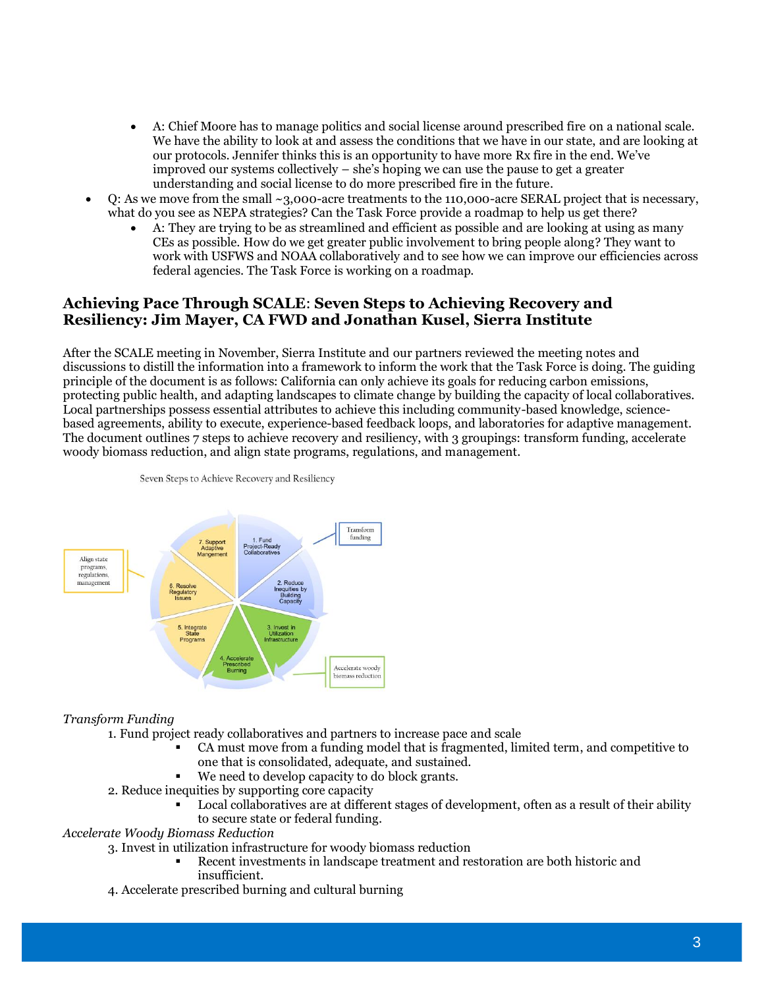- A: Chief Moore has to manage politics and social license around prescribed fire on a national scale. We have the ability to look at and assess the conditions that we have in our state, and are looking at our protocols. Jennifer thinks this is an opportunity to have more Rx fire in the end. We've improved our systems collectively – she's hoping we can use the pause to get a greater understanding and social license to do more prescribed fire in the future.
- Q: As we move from the small ~3,000-acre treatments to the 110,000-acre SERAL project that is necessary, what do you see as NEPA strategies? Can the Task Force provide a roadmap to help us get there?
	- A: They are trying to be as streamlined and efficient as possible and are looking at using as many CEs as possible. How do we get greater public involvement to bring people along? They want to work with USFWS and NOAA collaboratively and to see how we can improve our efficiencies across federal agencies. The Task Force is working on a roadmap.

## **Achieving Pace Through SCALE**: **Seven Steps to Achieving Recovery and Resiliency: Jim Mayer, CA FWD and Jonathan Kusel, Sierra Institute**

After the SCALE meeting in November, Sierra Institute and our partners reviewed the meeting notes and discussions to distill the information into a framework to inform the work that the Task Force is doing. The guiding principle of the document is as follows: California can only achieve its goals for reducing carbon emissions, protecting public health, and adapting landscapes to climate change by building the capacity of local collaboratives. Local partnerships possess essential attributes to achieve this including community-based knowledge, sciencebased agreements, ability to execute, experience-based feedback loops, and laboratories for adaptive management. The document outlines 7 steps to achieve recovery and resiliency, with 3 groupings: transform funding, accelerate woody biomass reduction, and align state programs, regulations, and management.



Seven Steps to Achieve Recovery and Resiliency

## *Transform Funding*

- 1. Fund project ready collaboratives and partners to increase pace and scale
	- CA must move from a funding model that is fragmented, limited term, and competitive to one that is consolidated, adequate, and sustained.
	- We need to develop capacity to do block grants.
- 2. Reduce inequities by supporting core capacity
	- Local collaboratives are at different stages of development, often as a result of their ability to secure state or federal funding.

## *Accelerate Woody Biomass Reduction*

- 3. Invest in utilization infrastructure for woody biomass reduction
	- Recent investments in landscape treatment and restoration are both historic and insufficient.
- 4. Accelerate prescribed burning and cultural burning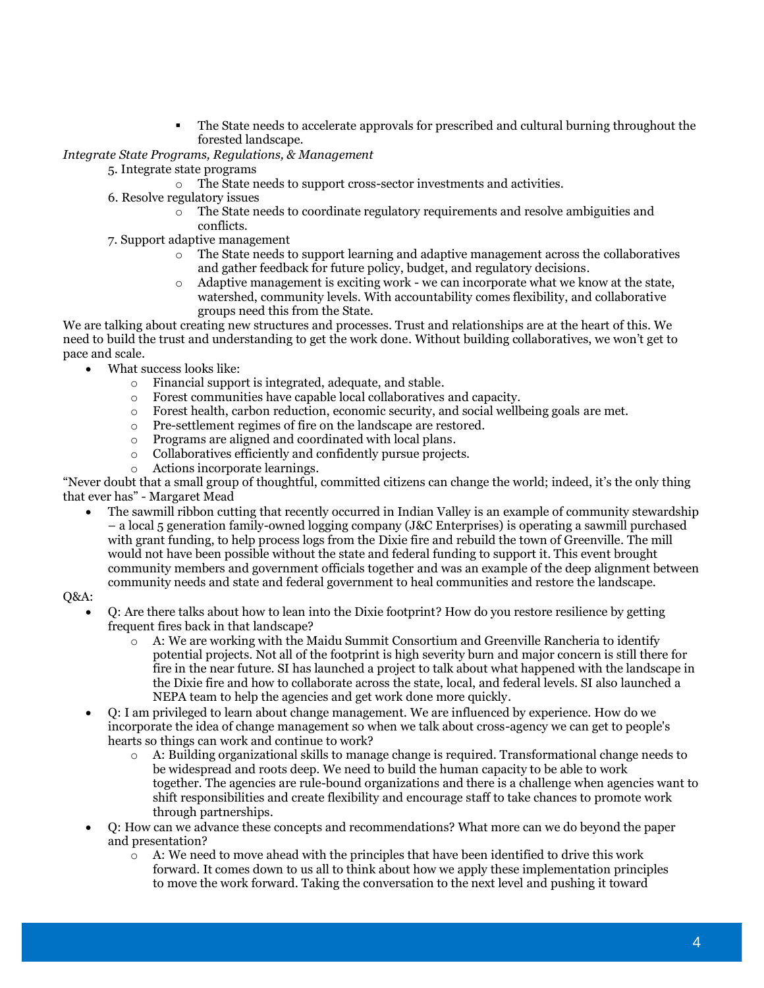**•** The State needs to accelerate approvals for prescribed and cultural burning throughout the forested landscape.

*Integrate State Programs, Regulations, & Management*

- 5. Integrate state programs
	- o The State needs to support cross-sector investments and activities.
- 6. Resolve regulatory issues
	- o The State needs to coordinate regulatory requirements and resolve ambiguities and conflicts.
- 7. Support adaptive management
	- $\circ$  The State needs to support learning and adaptive management across the collaboratives and gather feedback for future policy, budget, and regulatory decisions.
	- o Adaptive management is exciting work we can incorporate what we know at the state, watershed, community levels. With accountability comes flexibility, and collaborative groups need this from the State.

We are talking about creating new structures and processes. Trust and relationships are at the heart of this. We need to build the trust and understanding to get the work done. Without building collaboratives, we won't get to pace and scale.

- What success looks like:
	- o Financial support is integrated, adequate, and stable.
	- o Forest communities have capable local collaboratives and capacity.
	- $\circ$  Forest health, carbon reduction, economic security, and social wellbeing goals are met.
	- o Pre-settlement regimes of fire on the landscape are restored.
	- o Programs are aligned and coordinated with local plans.
	- o Collaboratives efficiently and confidently pursue projects.
	- o Actions incorporate learnings.

"Never doubt that a small group of thoughtful, committed citizens can change the world; indeed, it's the only thing that ever has" - Margaret Mead

• The sawmill ribbon cutting that recently occurred in Indian Valley is an example of community stewardship – a local 5 generation family-owned logging company (J&C Enterprises) is operating a sawmill purchased with grant funding, to help process logs from the Dixie fire and rebuild the town of Greenville. The mill would not have been possible without the state and federal funding to support it. This event brought community members and government officials together and was an example of the deep alignment between community needs and state and federal government to heal communities and restore the landscape.

- Q: Are there talks about how to lean into the Dixie footprint? How do you restore resilience by getting frequent fires back in that landscape?
	- $\circ$  A: We are working with the Maidu Summit Consortium and Greenville Rancheria to identify potential projects. Not all of the footprint is high severity burn and major concern is still there for fire in the near future. SI has launched a project to talk about what happened with the landscape in the Dixie fire and how to collaborate across the state, local, and federal levels. SI also launched a NEPA team to help the agencies and get work done more quickly.
- Q: I am privileged to learn about change management. We are influenced by experience. How do we incorporate the idea of change management so when we talk about cross-agency we can get to people's hearts so things can work and continue to work?
	- o A: Building organizational skills to manage change is required. Transformational change needs to be widespread and roots deep. We need to build the human capacity to be able to work together. The agencies are rule-bound organizations and there is a challenge when agencies want to shift responsibilities and create flexibility and encourage staff to take chances to promote work through partnerships.
- Q: How can we advance these concepts and recommendations? What more can we do beyond the paper and presentation?
	- $\circ$  A: We need to move ahead with the principles that have been identified to drive this work forward. It comes down to us all to think about how we apply these implementation principles to move the work forward. Taking the conversation to the next level and pushing it toward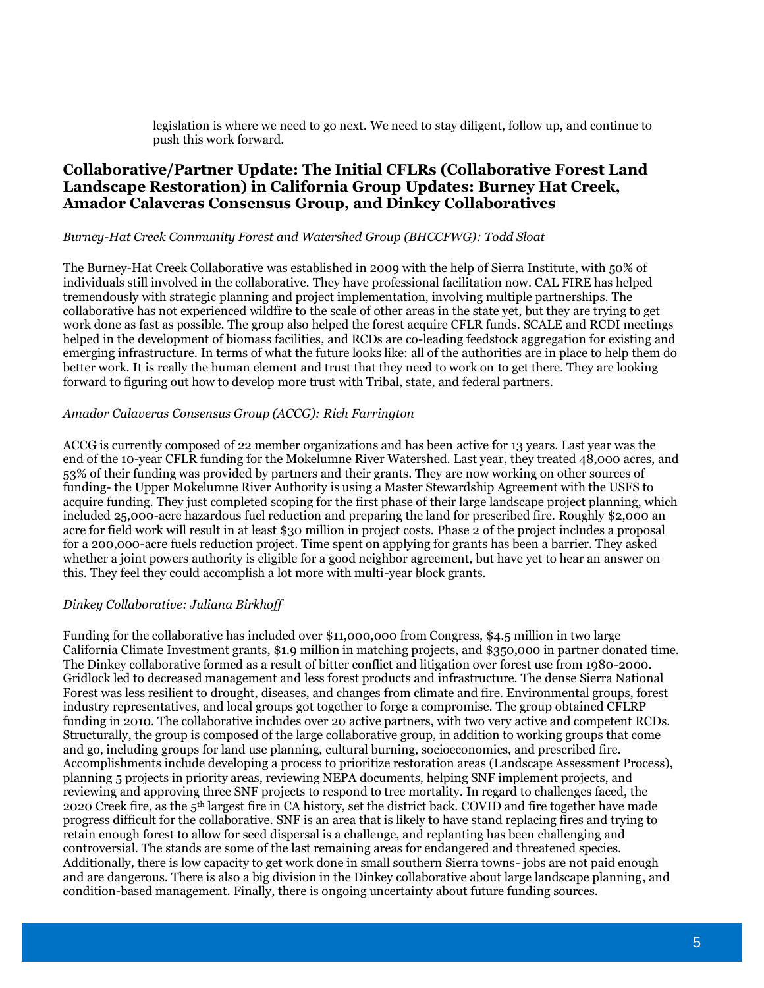legislation is where we need to go next. We need to stay diligent, follow up, and continue to push this work forward.

## **Collaborative/Partner Update: The Initial CFLRs (Collaborative Forest Land Landscape Restoration) in California Group Updates: Burney Hat Creek, Amador Calaveras Consensus Group, and Dinkey Collaboratives**

#### *Burney-Hat Creek Community Forest and Watershed Group (BHCCFWG): Todd Sloat*

The Burney-Hat Creek Collaborative was established in 2009 with the help of Sierra Institute, with 50% of individuals still involved in the collaborative. They have professional facilitation now. CAL FIRE has helped tremendously with strategic planning and project implementation, involving multiple partnerships. The collaborative has not experienced wildfire to the scale of other areas in the state yet, but they are trying to get work done as fast as possible. The group also helped the forest acquire CFLR funds. SCALE and RCDI meetings helped in the development of biomass facilities, and RCDs are co-leading feedstock aggregation for existing and emerging infrastructure. In terms of what the future looks like: all of the authorities are in place to help them do better work. It is really the human element and trust that they need to work on to get there. They are looking forward to figuring out how to develop more trust with Tribal, state, and federal partners.

#### *Amador Calaveras Consensus Group (ACCG): Rich Farrington*

ACCG is currently composed of 22 member organizations and has been active for 13 years. Last year was the end of the 10-year CFLR funding for the Mokelumne River Watershed. Last year, they treated 48,000 acres, and 53% of their funding was provided by partners and their grants. They are now working on other sources of funding- the Upper Mokelumne River Authority is using a Master Stewardship Agreement with the USFS to acquire funding. They just completed scoping for the first phase of their large landscape project planning, which included 25,000-acre hazardous fuel reduction and preparing the land for prescribed fire. Roughly \$2,000 an acre for field work will result in at least \$30 million in project costs. Phase 2 of the project includes a proposal for a 200,000-acre fuels reduction project. Time spent on applying for grants has been a barrier. They asked whether a joint powers authority is eligible for a good neighbor agreement, but have yet to hear an answer on this. They feel they could accomplish a lot more with multi-year block grants.

#### *Dinkey Collaborative: Juliana Birkhoff*

Funding for the collaborative has included over \$11,000,000 from Congress, \$4.5 million in two large California Climate Investment grants, \$1.9 million in matching projects, and \$350,000 in partner donated time. The Dinkey collaborative formed as a result of bitter conflict and litigation over forest use from 1980-2000. Gridlock led to decreased management and less forest products and infrastructure. The dense Sierra National Forest was less resilient to drought, diseases, and changes from climate and fire. Environmental groups, forest industry representatives, and local groups got together to forge a compromise. The group obtained CFLRP funding in 2010. The collaborative includes over 20 active partners, with two very active and competent RCDs. Structurally, the group is composed of the large collaborative group, in addition to working groups that come and go, including groups for land use planning, cultural burning, socioeconomics, and prescribed fire. Accomplishments include developing a process to prioritize restoration areas (Landscape Assessment Process), planning 5 projects in priority areas, reviewing NEPA documents, helping SNF implement projects, and reviewing and approving three SNF projects to respond to tree mortality. In regard to challenges faced, the 2020 Creek fire, as the 5th largest fire in CA history, set the district back. COVID and fire together have made progress difficult for the collaborative. SNF is an area that is likely to have stand replacing fires and trying to retain enough forest to allow for seed dispersal is a challenge, and replanting has been challenging and controversial. The stands are some of the last remaining areas for endangered and threatened species. Additionally, there is low capacity to get work done in small southern Sierra towns- jobs are not paid enough and are dangerous. There is also a big division in the Dinkey collaborative about large landscape planning, and condition-based management. Finally, there is ongoing uncertainty about future funding sources.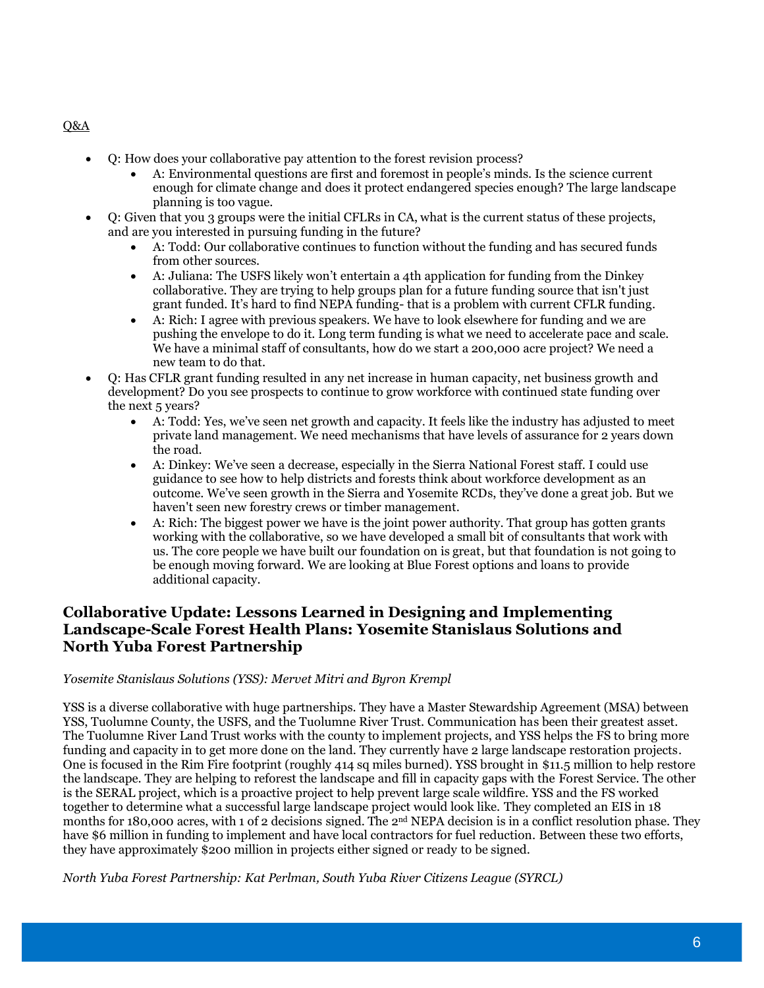- Q: How does your collaborative pay attention to the forest revision process?
	- A: Environmental questions are first and foremost in people's minds. Is the science current enough for climate change and does it protect endangered species enough? The large landscape planning is too vague.
- Q: Given that you 3 groups were the initial CFLRs in CA, what is the current status of these projects, and are you interested in pursuing funding in the future?
	- A: Todd: Our collaborative continues to function without the funding and has secured funds from other sources.
	- A: Juliana: The USFS likely won't entertain a 4th application for funding from the Dinkey collaborative. They are trying to help groups plan for a future funding source that isn't just grant funded. It's hard to find NEPA funding- that is a problem with current CFLR funding.
	- A: Rich: I agree with previous speakers. We have to look elsewhere for funding and we are pushing the envelope to do it. Long term funding is what we need to accelerate pace and scale. We have a minimal staff of consultants, how do we start a 200,000 acre project? We need a new team to do that.
- Q: Has CFLR grant funding resulted in any net increase in human capacity, net business growth and development? Do you see prospects to continue to grow workforce with continued state funding over the next 5 years?
	- A: Todd: Yes, we've seen net growth and capacity. It feels like the industry has adjusted to meet private land management. We need mechanisms that have levels of assurance for 2 years down the road.
	- A: Dinkey: We've seen a decrease, especially in the Sierra National Forest staff. I could use guidance to see how to help districts and forests think about workforce development as an outcome. We've seen growth in the Sierra and Yosemite RCDs, they've done a great job. But we haven't seen new forestry crews or timber management.
	- A: Rich: The biggest power we have is the joint power authority. That group has gotten grants working with the collaborative, so we have developed a small bit of consultants that work with us. The core people we have built our foundation on is great, but that foundation is not going to be enough moving forward. We are looking at Blue Forest options and loans to provide additional capacity.

## **Collaborative Update: Lessons Learned in Designing and Implementing Landscape-Scale Forest Health Plans: Yosemite Stanislaus Solutions and North Yuba Forest Partnership**

### *Yosemite Stanislaus Solutions (YSS): Mervet Mitri and Byron Krempl*

YSS is a diverse collaborative with huge partnerships. They have a Master Stewardship Agreement (MSA) between YSS, Tuolumne County, the USFS, and the Tuolumne River Trust. Communication has been their greatest asset. The Tuolumne River Land Trust works with the county to implement projects, and YSS helps the FS to bring more funding and capacity in to get more done on the land. They currently have 2 large landscape restoration projects. One is focused in the Rim Fire footprint (roughly 414 sq miles burned). YSS brought in \$11.5 million to help restore the landscape. They are helping to reforest the landscape and fill in capacity gaps with the Forest Service. The other is the SERAL project, which is a proactive project to help prevent large scale wildfire. YSS and the FS worked together to determine what a successful large landscape project would look like. They completed an EIS in 18 months for 180,000 acres, with 1 of 2 decisions signed. The 2<sup>nd</sup> NEPA decision is in a conflict resolution phase. They have \$6 million in funding to implement and have local contractors for fuel reduction. Between these two efforts, they have approximately \$200 million in projects either signed or ready to be signed.

*North Yuba Forest Partnership: Kat Perlman, South Yuba River Citizens League (SYRCL)*

#### Q&A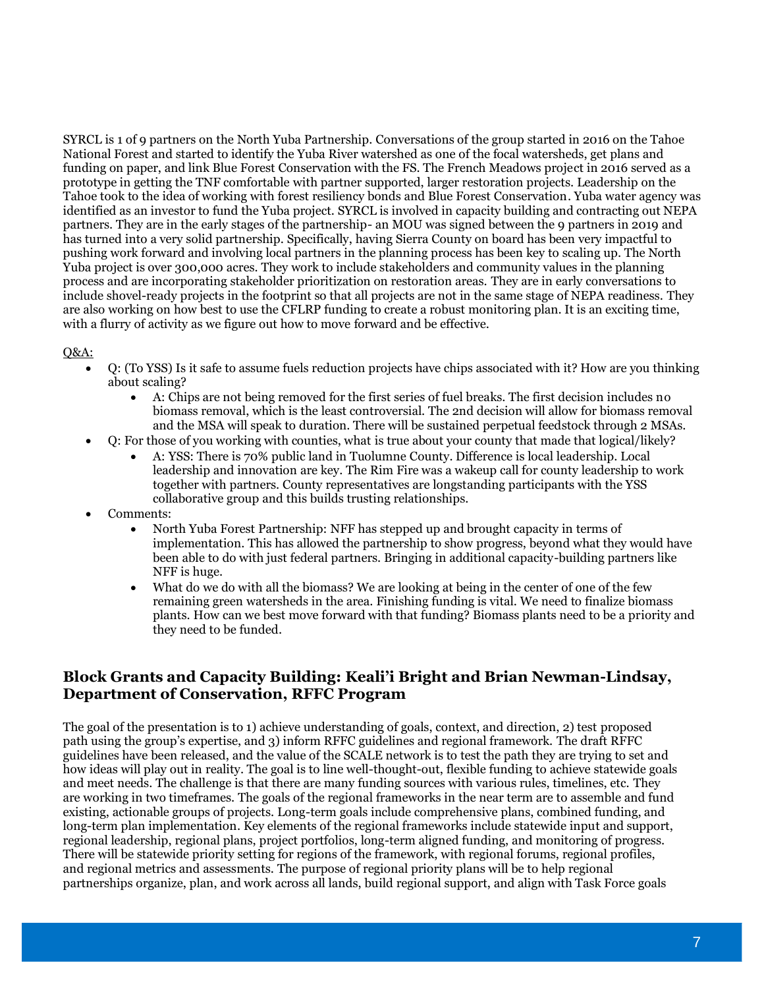SYRCL is 1 of 9 partners on the North Yuba Partnership. Conversations of the group started in 2016 on the Tahoe National Forest and started to identify the Yuba River watershed as one of the focal watersheds, get plans and funding on paper, and link Blue Forest Conservation with the FS. The French Meadows project in 2016 served as a prototype in getting the TNF comfortable with partner supported, larger restoration projects. Leadership on the Tahoe took to the idea of working with forest resiliency bonds and Blue Forest Conservation. Yuba water agency was identified as an investor to fund the Yuba project. SYRCL is involved in capacity building and contracting out NEPA partners. They are in the early stages of the partnership- an MOU was signed between the 9 partners in 2019 and has turned into a very solid partnership. Specifically, having Sierra County on board has been very impactful to pushing work forward and involving local partners in the planning process has been key to scaling up. The North Yuba project is over 300,000 acres. They work to include stakeholders and community values in the planning process and are incorporating stakeholder prioritization on restoration areas. They are in early conversations to include shovel-ready projects in the footprint so that all projects are not in the same stage of NEPA readiness. They are also working on how best to use the CFLRP funding to create a robust monitoring plan. It is an exciting time, with a flurry of activity as we figure out how to move forward and be effective.

#### $O&A$ :

- Q: (To YSS) Is it safe to assume fuels reduction projects have chips associated with it? How are you thinking about scaling?
	- A: Chips are not being removed for the first series of fuel breaks. The first decision includes no biomass removal, which is the least controversial. The 2nd decision will allow for biomass removal and the MSA will speak to duration. There will be sustained perpetual feedstock through 2 MSAs.
- Q: For those of you working with counties, what is true about your county that made that logical/likely?
	- A: YSS: There is 70% public land in Tuolumne County. Difference is local leadership. Local leadership and innovation are key. The Rim Fire was a wakeup call for county leadership to work together with partners. County representatives are longstanding participants with the YSS collaborative group and this builds trusting relationships.
- Comments:
	- North Yuba Forest Partnership: NFF has stepped up and brought capacity in terms of implementation. This has allowed the partnership to show progress, beyond what they would have been able to do with just federal partners. Bringing in additional capacity-building partners like NFF is huge.
	- What do we do with all the biomass? We are looking at being in the center of one of the few remaining green watersheds in the area. Finishing funding is vital. We need to finalize biomass plants. How can we best move forward with that funding? Biomass plants need to be a priority and they need to be funded.

## **Block Grants and Capacity Building: Keali'i Bright and Brian Newman-Lindsay, Department of Conservation, RFFC Program**

The goal of the presentation is to 1) achieve understanding of goals, context, and direction, 2) test proposed path using the group's expertise, and 3) inform RFFC guidelines and regional framework. The draft RFFC guidelines have been released, and the value of the SCALE network is to test the path they are trying to set and how ideas will play out in reality. The goal is to line well-thought-out, flexible funding to achieve statewide goals and meet needs. The challenge is that there are many funding sources with various rules, timelines, etc. They are working in two timeframes. The goals of the regional frameworks in the near term are to assemble and fund existing, actionable groups of projects. Long-term goals include comprehensive plans, combined funding, and long-term plan implementation. Key elements of the regional frameworks include statewide input and support, regional leadership, regional plans, project portfolios, long-term aligned funding, and monitoring of progress. There will be statewide priority setting for regions of the framework, with regional forums, regional profiles, and regional metrics and assessments. The purpose of regional priority plans will be to help regional partnerships organize, plan, and work across all lands, build regional support, and align with Task Force goals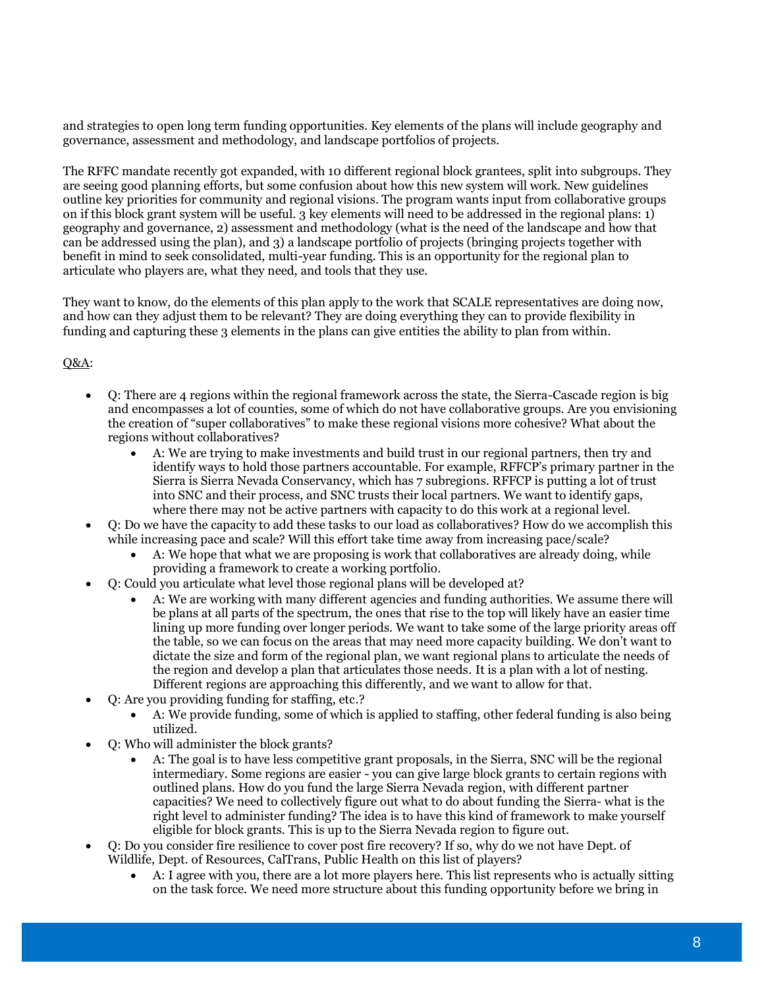and strategies to open long term funding opportunities. Key elements of the plans will include geography and governance, assessment and methodology, and landscape portfolios of projects.

The RFFC mandate recently got expanded, with 10 different regional block grantees, split into subgroups. They are seeing good planning efforts, but some confusion about how this new system will work. New guidelines outline key priorities for community and regional visions. The program wants input from collaborative groups on if this block grant system will be useful. 3 key elements will need to be addressed in the regional plans: 1) geography and governance, 2) assessment and methodology (what is the need of the landscape and how that can be addressed using the plan), and 3) a landscape portfolio of projects (bringing projects together with benefit in mind to seek consolidated, multi-year funding. This is an opportunity for the regional plan to articulate who players are, what they need, and tools that they use.

They want to know, do the elements of this plan apply to the work that SCALE representatives are doing now, and how can they adjust them to be relevant? They are doing everything they can to provide flexibility in funding and capturing these 3 elements in the plans can give entities the ability to plan from within.

- Q: There are 4 regions within the regional framework across the state, the Sierra-Cascade region is big and encompasses a lot of counties, some of which do not have collaborative groups. Are you envisioning the creation of "super collaboratives" to make these regional visions more cohesive? What about the regions without collaboratives?
	- A: We are trying to make investments and build trust in our regional partners, then try and identify ways to hold those partners accountable. For example, RFFCP's primary partner in the Sierra is Sierra Nevada Conservancy, which has 7 subregions. RFFCP is putting a lot of trust into SNC and their process, and SNC trusts their local partners. We want to identify gaps, where there may not be active partners with capacity to do this work at a regional level.
- Q: Do we have the capacity to add these tasks to our load as collaboratives? How do we accomplish this while increasing pace and scale? Will this effort take time away from increasing pace/scale?
	- A: We hope that what we are proposing is work that collaboratives are already doing, while providing a framework to create a working portfolio.
- Q: Could you articulate what level those regional plans will be developed at?
	- A: We are working with many different agencies and funding authorities. We assume there will be plans at all parts of the spectrum, the ones that rise to the top will likely have an easier time lining up more funding over longer periods. We want to take some of the large priority areas off the table, so we can focus on the areas that may need more capacity building. We don't want to dictate the size and form of the regional plan, we want regional plans to articulate the needs of the region and develop a plan that articulates those needs. It is a plan with a lot of nesting. Different regions are approaching this differently, and we want to allow for that.
- Q: Are you providing funding for staffing, etc.?
	- A: We provide funding, some of which is applied to staffing, other federal funding is also being utilized.
- Q: Who will administer the block grants?
	- A: The goal is to have less competitive grant proposals, in the Sierra, SNC will be the regional intermediary. Some regions are easier - you can give large block grants to certain regions with outlined plans. How do you fund the large Sierra Nevada region, with different partner capacities? We need to collectively figure out what to do about funding the Sierra- what is the right level to administer funding? The idea is to have this kind of framework to make yourself eligible for block grants. This is up to the Sierra Nevada region to figure out.
- Q: Do you consider fire resilience to cover post fire recovery? If so, why do we not have Dept. of Wildlife, Dept. of Resources, CalTrans, Public Health on this list of players?
	- A: I agree with you, there are a lot more players here. This list represents who is actually sitting on the task force. We need more structure about this funding opportunity before we bring in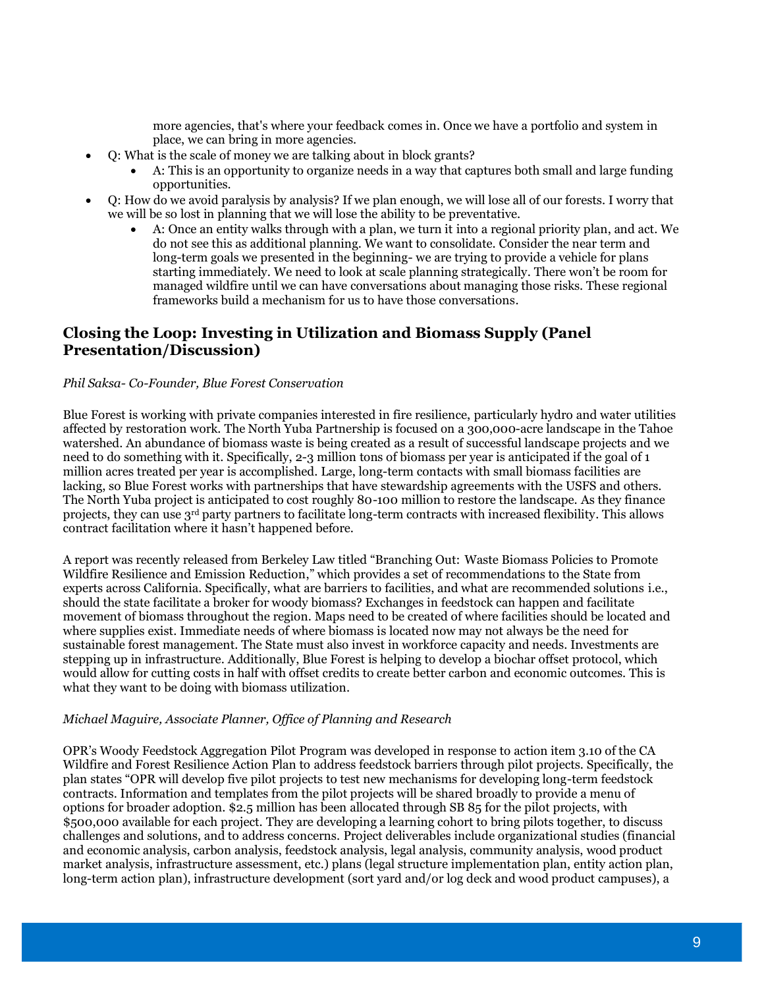more agencies, that's where your feedback comes in. Once we have a portfolio and system in place, we can bring in more agencies.

- Q: What is the scale of money we are talking about in block grants?
	- A: This is an opportunity to organize needs in a way that captures both small and large funding opportunities.
- Q: How do we avoid paralysis by analysis? If we plan enough, we will lose all of our forests. I worry that we will be so lost in planning that we will lose the ability to be preventative.
	- A: Once an entity walks through with a plan, we turn it into a regional priority plan, and act. We do not see this as additional planning. We want to consolidate. Consider the near term and long-term goals we presented in the beginning- we are trying to provide a vehicle for plans starting immediately. We need to look at scale planning strategically. There won't be room for managed wildfire until we can have conversations about managing those risks. These regional frameworks build a mechanism for us to have those conversations.

## **Closing the Loop: Investing in Utilization and Biomass Supply (Panel Presentation/Discussion)**

#### *Phil Saksa- Co-Founder, Blue Forest Conservation*

Blue Forest is working with private companies interested in fire resilience, particularly hydro and water utilities affected by restoration work. The North Yuba Partnership is focused on a 300,000-acre landscape in the Tahoe watershed. An abundance of biomass waste is being created as a result of successful landscape projects and we need to do something with it. Specifically, 2-3 million tons of biomass per year is anticipated if the goal of 1 million acres treated per year is accomplished. Large, long-term contacts with small biomass facilities are lacking, so Blue Forest works with partnerships that have stewardship agreements with the USFS and others. The North Yuba project is anticipated to cost roughly 80-100 million to restore the landscape. As they finance projects, they can use 3rd party partners to facilitate long-term contracts with increased flexibility. This allows contract facilitation where it hasn't happened before.

A report was recently released from Berkeley Law titled "Branching Out: Waste Biomass Policies to Promote Wildfire Resilience and Emission Reduction," which provides a set of recommendations to the State from experts across California. Specifically, what are barriers to facilities, and what are recommended solutions i.e., should the state facilitate a broker for woody biomass? Exchanges in feedstock can happen and facilitate movement of biomass throughout the region. Maps need to be created of where facilities should be located and where supplies exist. Immediate needs of where biomass is located now may not always be the need for sustainable forest management. The State must also invest in workforce capacity and needs. Investments are stepping up in infrastructure. Additionally, Blue Forest is helping to develop a biochar offset protocol, which would allow for cutting costs in half with offset credits to create better carbon and economic outcomes. This is what they want to be doing with biomass utilization.

#### *Michael Maguire, Associate Planner, Office of Planning and Research*

OPR's Woody Feedstock Aggregation Pilot Program was developed in response to action item 3.10 of the CA Wildfire and Forest Resilience Action Plan to address feedstock barriers through pilot projects. Specifically, the plan states "OPR will develop five pilot projects to test new mechanisms for developing long-term feedstock contracts. Information and templates from the pilot projects will be shared broadly to provide a menu of options for broader adoption. \$2.5 million has been allocated through SB 85 for the pilot projects, with \$500,000 available for each project. They are developing a learning cohort to bring pilots together, to discuss challenges and solutions, and to address concerns. Project deliverables include organizational studies (financial and economic analysis, carbon analysis, feedstock analysis, legal analysis, community analysis, wood product market analysis, infrastructure assessment, etc.) plans (legal structure implementation plan, entity action plan, long-term action plan), infrastructure development (sort yard and/or log deck and wood product campuses), a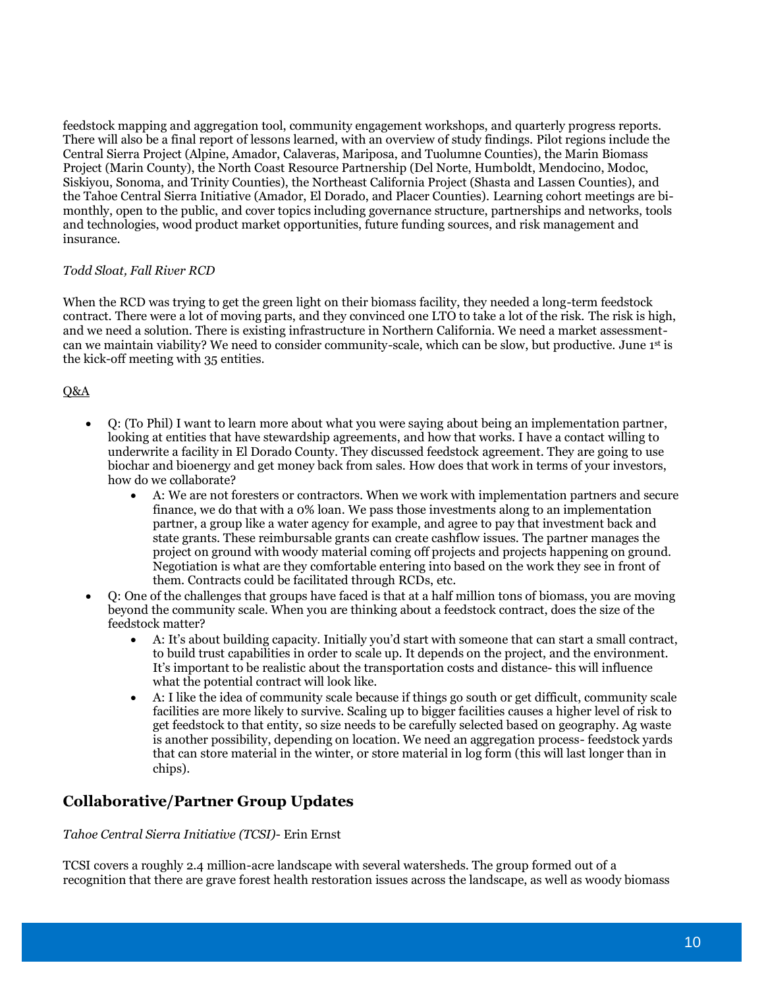feedstock mapping and aggregation tool, community engagement workshops, and quarterly progress reports. There will also be a final report of lessons learned, with an overview of study findings. Pilot regions include the Central Sierra Project (Alpine, Amador, Calaveras, Mariposa, and Tuolumne Counties), the Marin Biomass Project (Marin County), the North Coast Resource Partnership (Del Norte, Humboldt, Mendocino, Modoc, Siskiyou, Sonoma, and Trinity Counties), the Northeast California Project (Shasta and Lassen Counties), and the Tahoe Central Sierra Initiative (Amador, El Dorado, and Placer Counties). Learning cohort meetings are bimonthly, open to the public, and cover topics including governance structure, partnerships and networks, tools and technologies, wood product market opportunities, future funding sources, and risk management and insurance.

#### *Todd Sloat, Fall River RCD*

When the RCD was trying to get the green light on their biomass facility, they needed a long-term feedstock contract. There were a lot of moving parts, and they convinced one LTO to take a lot of the risk. The risk is high, and we need a solution. There is existing infrastructure in Northern California. We need a market assessmentcan we maintain viability? We need to consider community-scale, which can be slow, but productive. June 1st is the kick-off meeting with 35 entities.

#### Q&A

- Q: (To Phil) I want to learn more about what you were saying about being an implementation partner, looking at entities that have stewardship agreements, and how that works. I have a contact willing to underwrite a facility in El Dorado County. They discussed feedstock agreement. They are going to use biochar and bioenergy and get money back from sales. How does that work in terms of your investors, how do we collaborate?
	- A: We are not foresters or contractors. When we work with implementation partners and secure finance, we do that with a 0% loan. We pass those investments along to an implementation partner, a group like a water agency for example, and agree to pay that investment back and state grants. These reimbursable grants can create cashflow issues. The partner manages the project on ground with woody material coming off projects and projects happening on ground. Negotiation is what are they comfortable entering into based on the work they see in front of them. Contracts could be facilitated through RCDs, etc.
- Q: One of the challenges that groups have faced is that at a half million tons of biomass, you are moving beyond the community scale. When you are thinking about a feedstock contract, does the size of the feedstock matter?
	- A: It's about building capacity. Initially you'd start with someone that can start a small contract, to build trust capabilities in order to scale up. It depends on the project, and the environment. It's important to be realistic about the transportation costs and distance- this will influence what the potential contract will look like.
	- A: I like the idea of community scale because if things go south or get difficult, community scale facilities are more likely to survive. Scaling up to bigger facilities causes a higher level of risk to get feedstock to that entity, so size needs to be carefully selected based on geography. Ag waste is another possibility, depending on location. We need an aggregation process- feedstock yards that can store material in the winter, or store material in log form (this will last longer than in chips).

## **Collaborative/Partner Group Updates**

*Tahoe Central Sierra Initiative (TCSI)*- Erin Ernst

TCSI covers a roughly 2.4 million-acre landscape with several watersheds. The group formed out of a recognition that there are grave forest health restoration issues across the landscape, as well as woody biomass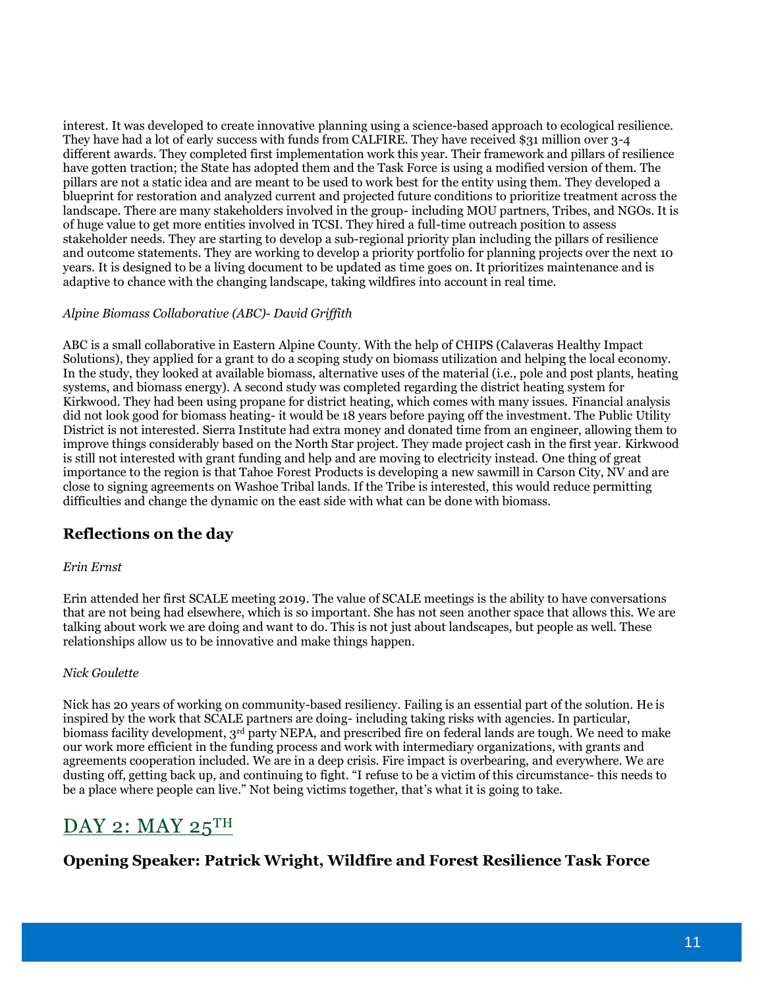interest. It was developed to create innovative planning using a science-based approach to ecological resilience. They have had a lot of early success with funds from CALFIRE. They have received \$31 million over 3-4 different awards. They completed first implementation work this year. Their framework and pillars of resilience have gotten traction; the State has adopted them and the Task Force is using a modified version of them. The pillars are not a static idea and are meant to be used to work best for the entity using them. They developed a blueprint for restoration and analyzed current and projected future conditions to prioritize treatment across the landscape. There are many stakeholders involved in the group- including MOU partners, Tribes, and NGOs. It is of huge value to get more entities involved in TCSI. They hired a full-time outreach position to assess stakeholder needs. They are starting to develop a sub-regional priority plan including the pillars of resilience and outcome statements. They are working to develop a priority portfolio for planning projects over the next 10 years. It is designed to be a living document to be updated as time goes on. It prioritizes maintenance and is adaptive to chance with the changing landscape, taking wildfires into account in real time.

#### *Alpine Biomass Collaborative (ABC)- David Griffith*

ABC is a small collaborative in Eastern Alpine County. With the help of CHIPS (Calaveras Healthy Impact Solutions), they applied for a grant to do a scoping study on biomass utilization and helping the local economy. In the study, they looked at available biomass, alternative uses of the material (i.e., pole and post plants, heating systems, and biomass energy). A second study was completed regarding the district heating system for Kirkwood. They had been using propane for district heating, which comes with many issues. Financial analysis did not look good for biomass heating- it would be 18 years before paying off the investment. The Public Utility District is not interested. Sierra Institute had extra money and donated time from an engineer, allowing them to improve things considerably based on the North Star project. They made project cash in the first year. Kirkwood is still not interested with grant funding and help and are moving to electricity instead. One thing of great importance to the region is that Tahoe Forest Products is developing a new sawmill in Carson City, NV and are close to signing agreements on Washoe Tribal lands. If the Tribe is interested, this would reduce permitting difficulties and change the dynamic on the east side with what can be done with biomass.

## **Reflections on the day**

#### *Erin Ernst*

Erin attended her first SCALE meeting 2019. The value of SCALE meetings is the ability to have conversations that are not being had elsewhere, which is so important. She has not seen another space that allows this. We are talking about work we are doing and want to do. This is not just about landscapes, but people as well. These relationships allow us to be innovative and make things happen.

#### *Nick Goulette*

Nick has 20 years of working on community-based resiliency. Failing is an essential part of the solution. He is inspired by the work that SCALE partners are doing- including taking risks with agencies. In particular, biomass facility development,  $3<sup>rd</sup>$  party NEPA, and prescribed fire on federal lands are tough. We need to make our work more efficient in the funding process and work with intermediary organizations, with grants and agreements cooperation included. We are in a deep crisis. Fire impact is overbearing, and everywhere. We are dusting off, getting back up, and continuing to fight. "I refuse to be a victim of this circumstance- this needs to be a place where people can live." Not being victims together, that's what it is going to take.

## $DAY$  2:  $MAY$  25<sup>TH</sup>

**Opening Speaker: Patrick Wright, Wildfire and Forest Resilience Task Force**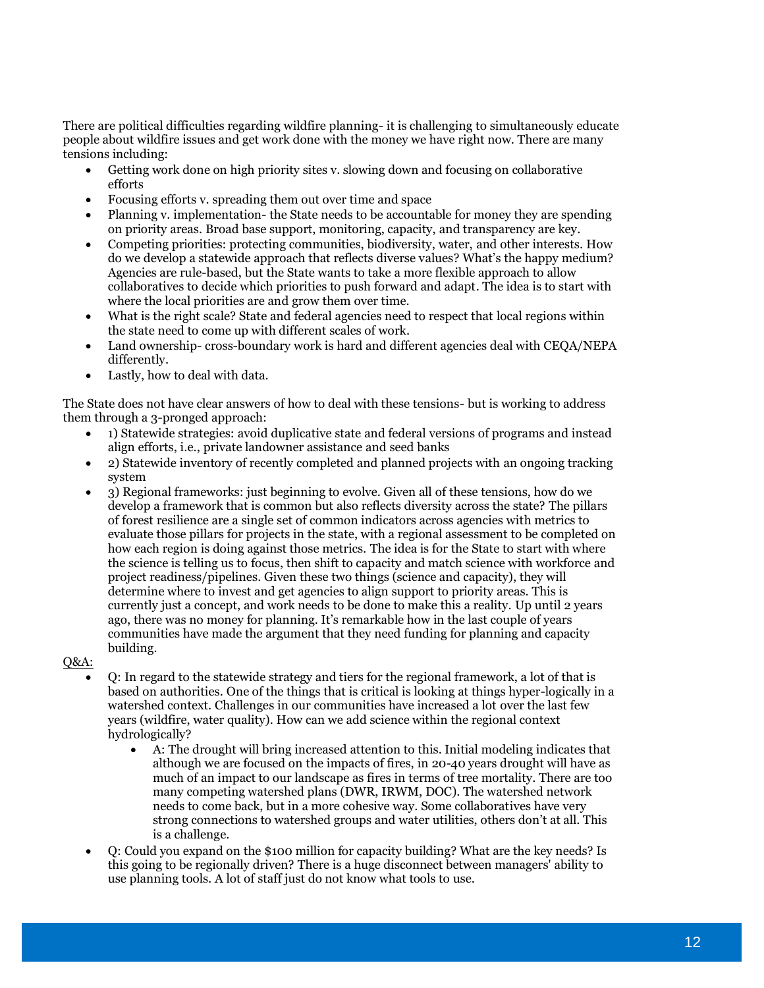There are political difficulties regarding wildfire planning- it is challenging to simultaneously educate people about wildfire issues and get work done with the money we have right now. There are many tensions including:

- Getting work done on high priority sites v. slowing down and focusing on collaborative efforts
- Focusing efforts v. spreading them out over time and space
- Planning v. implementation- the State needs to be accountable for money they are spending on priority areas. Broad base support, monitoring, capacity, and transparency are key.
- Competing priorities: protecting communities, biodiversity, water, and other interests. How do we develop a statewide approach that reflects diverse values? What's the happy medium? Agencies are rule-based, but the State wants to take a more flexible approach to allow collaboratives to decide which priorities to push forward and adapt. The idea is to start with where the local priorities are and grow them over time.
- What is the right scale? State and federal agencies need to respect that local regions within the state need to come up with different scales of work.
- Land ownership- cross-boundary work is hard and different agencies deal with CEQA/NEPA differently.
- Lastly, how to deal with data.

The State does not have clear answers of how to deal with these tensions- but is working to address them through a 3-pronged approach:

- 1) Statewide strategies: avoid duplicative state and federal versions of programs and instead align efforts, i.e., private landowner assistance and seed banks
- 2) Statewide inventory of recently completed and planned projects with an ongoing tracking system
- 3) Regional frameworks: just beginning to evolve. Given all of these tensions, how do we develop a framework that is common but also reflects diversity across the state? The pillars of forest resilience are a single set of common indicators across agencies with metrics to evaluate those pillars for projects in the state, with a regional assessment to be completed on how each region is doing against those metrics. The idea is for the State to start with where the science is telling us to focus, then shift to capacity and match science with workforce and project readiness/pipelines. Given these two things (science and capacity), they will determine where to invest and get agencies to align support to priority areas. This is currently just a concept, and work needs to be done to make this a reality. Up until 2 years ago, there was no money for planning. It's remarkable how in the last couple of years communities have made the argument that they need funding for planning and capacity building.

 $O&A$ :

- Q: In regard to the statewide strategy and tiers for the regional framework, a lot of that is based on authorities. One of the things that is critical is looking at things hyper-logically in a watershed context. Challenges in our communities have increased a lot over the last few years (wildfire, water quality). How can we add science within the regional context hydrologically?
	- A: The drought will bring increased attention to this. Initial modeling indicates that although we are focused on the impacts of fires, in 20-40 years drought will have as much of an impact to our landscape as fires in terms of tree mortality. There are too many competing watershed plans (DWR, IRWM, DOC). The watershed network needs to come back, but in a more cohesive way. Some collaboratives have very strong connections to watershed groups and water utilities, others don't at all. This is a challenge.
- Q: Could you expand on the \$100 million for capacity building? What are the key needs? Is this going to be regionally driven? There is a huge disconnect between managers' ability to use planning tools. A lot of staff just do not know what tools to use.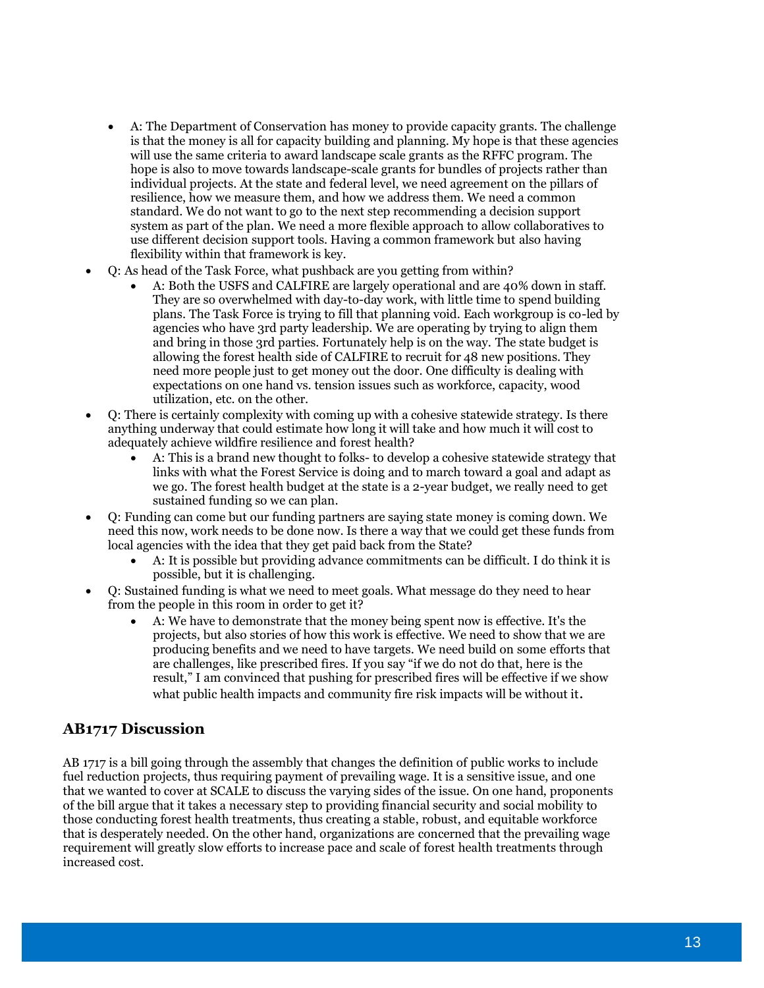- A: The Department of Conservation has money to provide capacity grants. The challenge is that the money is all for capacity building and planning. My hope is that these agencies will use the same criteria to award landscape scale grants as the RFFC program. The hope is also to move towards landscape-scale grants for bundles of projects rather than individual projects. At the state and federal level, we need agreement on the pillars of resilience, how we measure them, and how we address them. We need a common standard. We do not want to go to the next step recommending a decision support system as part of the plan. We need a more flexible approach to allow collaboratives to use different decision support tools. Having a common framework but also having flexibility within that framework is key.
- Q: As head of the Task Force, what pushback are you getting from within?
	- A: Both the USFS and CALFIRE are largely operational and are 40% down in staff. They are so overwhelmed with day-to-day work, with little time to spend building plans. The Task Force is trying to fill that planning void. Each workgroup is co-led by agencies who have 3rd party leadership. We are operating by trying to align them and bring in those 3rd parties. Fortunately help is on the way. The state budget is allowing the forest health side of CALFIRE to recruit for 48 new positions. They need more people just to get money out the door. One difficulty is dealing with expectations on one hand vs. tension issues such as workforce, capacity, wood utilization, etc. on the other.
- Q: There is certainly complexity with coming up with a cohesive statewide strategy. Is there anything underway that could estimate how long it will take and how much it will cost to adequately achieve wildfire resilience and forest health?
	- A: This is a brand new thought to folks- to develop a cohesive statewide strategy that links with what the Forest Service is doing and to march toward a goal and adapt as we go. The forest health budget at the state is a 2-year budget, we really need to get sustained funding so we can plan.
- Q: Funding can come but our funding partners are saying state money is coming down. We need this now, work needs to be done now. Is there a way that we could get these funds from local agencies with the idea that they get paid back from the State?
	- A: It is possible but providing advance commitments can be difficult. I do think it is possible, but it is challenging.
- Q: Sustained funding is what we need to meet goals. What message do they need to hear from the people in this room in order to get it?
	- A: We have to demonstrate that the money being spent now is effective. It's the projects, but also stories of how this work is effective. We need to show that we are producing benefits and we need to have targets. We need build on some efforts that are challenges, like prescribed fires. If you say "if we do not do that, here is the result," I am convinced that pushing for prescribed fires will be effective if we show what public health impacts and community fire risk impacts will be without it.

## **AB1717 Discussion**

AB 1717 is a bill going through the assembly that changes the definition of public works to include fuel reduction projects, thus requiring payment of prevailing wage. It is a sensitive issue, and one that we wanted to cover at SCALE to discuss the varying sides of the issue. On one hand, proponents of the bill argue that it takes a necessary step to providing financial security and social mobility to those conducting forest health treatments, thus creating a stable, robust, and equitable workforce that is desperately needed. On the other hand, organizations are concerned that the prevailing wage requirement will greatly slow efforts to increase pace and scale of forest health treatments through increased cost.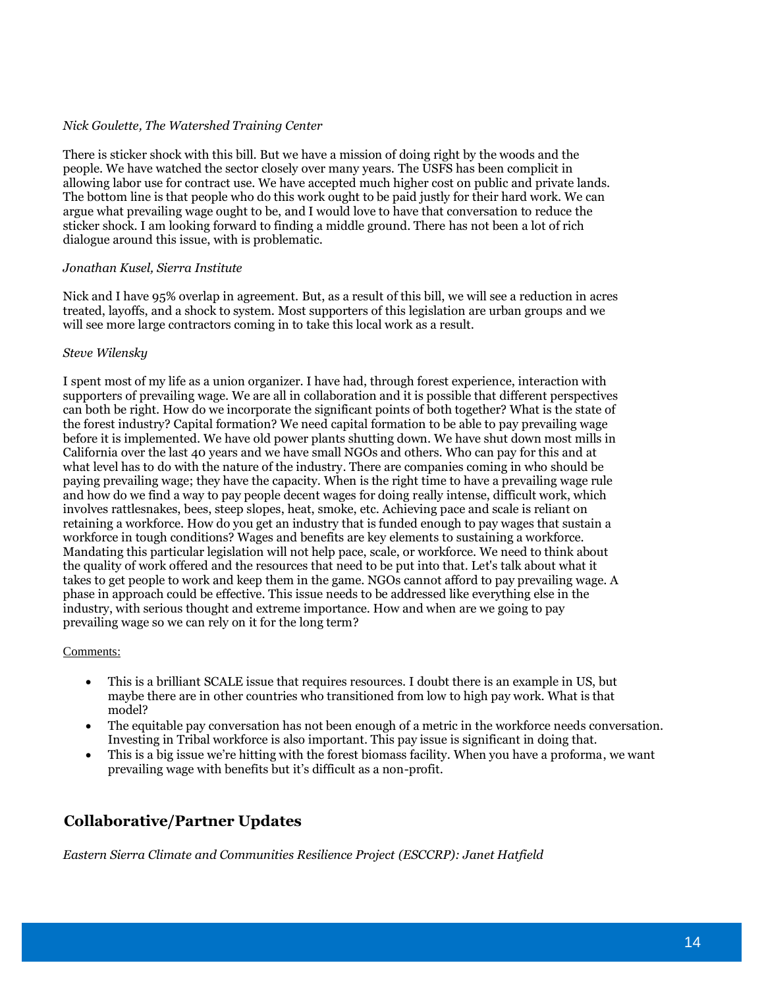#### *Nick Goulette, The Watershed Training Center*

There is sticker shock with this bill. But we have a mission of doing right by the woods and the people. We have watched the sector closely over many years. The USFS has been complicit in allowing labor use for contract use. We have accepted much higher cost on public and private lands. The bottom line is that people who do this work ought to be paid justly for their hard work. We can argue what prevailing wage ought to be, and I would love to have that conversation to reduce the sticker shock. I am looking forward to finding a middle ground. There has not been a lot of rich dialogue around this issue, with is problematic.

#### *Jonathan Kusel, Sierra Institute*

Nick and I have 95% overlap in agreement. But, as a result of this bill, we will see a reduction in acres treated, layoffs, and a shock to system. Most supporters of this legislation are urban groups and we will see more large contractors coming in to take this local work as a result.

#### *Steve Wilensky*

I spent most of my life as a union organizer. I have had, through forest experience, interaction with supporters of prevailing wage. We are all in collaboration and it is possible that different perspectives can both be right. How do we incorporate the significant points of both together? What is the state of the forest industry? Capital formation? We need capital formation to be able to pay prevailing wage before it is implemented. We have old power plants shutting down. We have shut down most mills in California over the last 40 years and we have small NGOs and others. Who can pay for this and at what level has to do with the nature of the industry. There are companies coming in who should be paying prevailing wage; they have the capacity. When is the right time to have a prevailing wage rule and how do we find a way to pay people decent wages for doing really intense, difficult work, which involves rattlesnakes, bees, steep slopes, heat, smoke, etc. Achieving pace and scale is reliant on retaining a workforce. How do you get an industry that is funded enough to pay wages that sustain a workforce in tough conditions? Wages and benefits are key elements to sustaining a workforce. Mandating this particular legislation will not help pace, scale, or workforce. We need to think about the quality of work offered and the resources that need to be put into that. Let's talk about what it takes to get people to work and keep them in the game. NGOs cannot afford to pay prevailing wage. A phase in approach could be effective. This issue needs to be addressed like everything else in the industry, with serious thought and extreme importance. How and when are we going to pay prevailing wage so we can rely on it for the long term?

#### Comments:

- This is a brilliant SCALE issue that requires resources. I doubt there is an example in US, but maybe there are in other countries who transitioned from low to high pay work. What is that model?
- The equitable pay conversation has not been enough of a metric in the workforce needs conversation. Investing in Tribal workforce is also important. This pay issue is significant in doing that.
- This is a big issue we're hitting with the forest biomass facility. When you have a proforma, we want prevailing wage with benefits but it's difficult as a non-profit.

## **Collaborative/Partner Updates**

*Eastern Sierra Climate and Communities Resilience Project (ESCCRP): Janet Hatfield*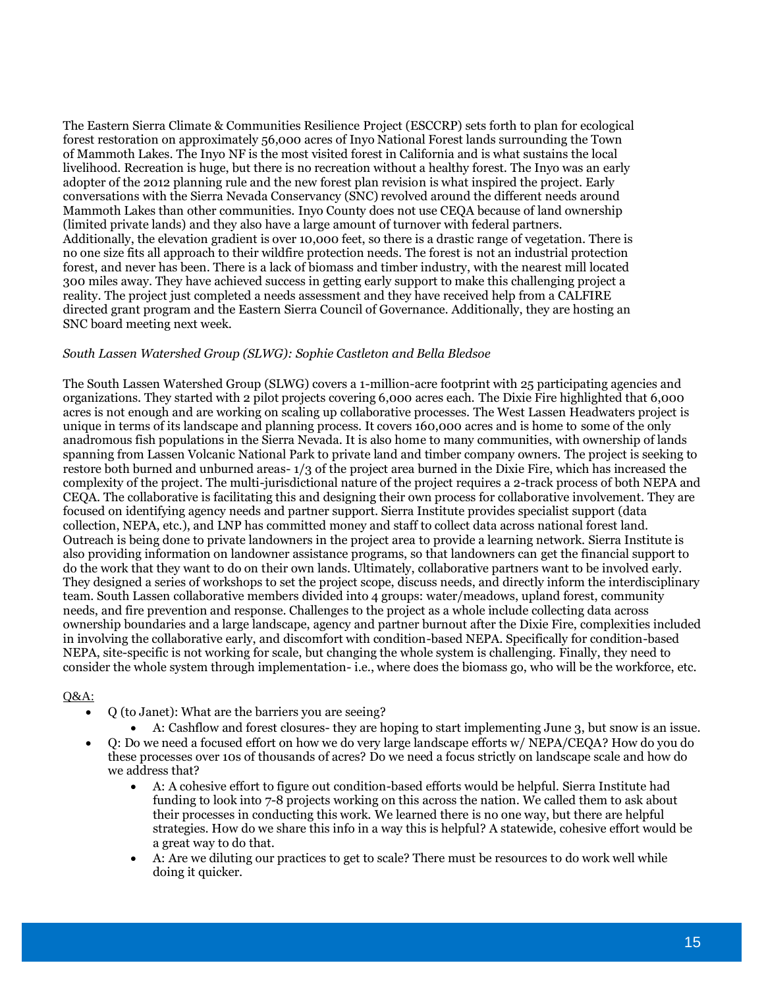The Eastern Sierra Climate & Communities Resilience Project (ESCCRP) sets forth to plan for ecological forest restoration on approximately 56,000 acres of Inyo National Forest lands surrounding the Town of Mammoth Lakes. The Inyo NF is the most visited forest in California and is what sustains the local livelihood. Recreation is huge, but there is no recreation without a healthy forest. The Inyo was an early adopter of the 2012 planning rule and the new forest plan revision is what inspired the project. Early conversations with the Sierra Nevada Conservancy (SNC) revolved around the different needs around Mammoth Lakes than other communities. Inyo County does not use CEQA because of land ownership (limited private lands) and they also have a large amount of turnover with federal partners. Additionally, the elevation gradient is over 10,000 feet, so there is a drastic range of vegetation. There is no one size fits all approach to their wildfire protection needs. The forest is not an industrial protection forest, and never has been. There is a lack of biomass and timber industry, with the nearest mill located 300 miles away. They have achieved success in getting early support to make this challenging project a reality. The project just completed a needs assessment and they have received help from a CALFIRE directed grant program and the Eastern Sierra Council of Governance. Additionally, they are hosting an SNC board meeting next week.

#### *South Lassen Watershed Group (SLWG): Sophie Castleton and Bella Bledsoe*

The South Lassen Watershed Group (SLWG) covers a 1-million-acre footprint with 25 participating agencies and organizations. They started with 2 pilot projects covering 6,000 acres each. The Dixie Fire highlighted that 6,000 acres is not enough and are working on scaling up collaborative processes. The West Lassen Headwaters project is unique in terms of its landscape and planning process. It covers 160,000 acres and is home to some of the only anadromous fish populations in the Sierra Nevada. It is also home to many communities, with ownership of lands spanning from Lassen Volcanic National Park to private land and timber company owners. The project is seeking to restore both burned and unburned areas- 1/3 of the project area burned in the Dixie Fire, which has increased the complexity of the project. The multi-jurisdictional nature of the project requires a 2-track process of both NEPA and CEQA. The collaborative is facilitating this and designing their own process for collaborative involvement. They are focused on identifying agency needs and partner support. Sierra Institute provides specialist support (data collection, NEPA, etc.), and LNP has committed money and staff to collect data across national forest land. Outreach is being done to private landowners in the project area to provide a learning network. Sierra Institute is also providing information on landowner assistance programs, so that landowners can get the financial support to do the work that they want to do on their own lands. Ultimately, collaborative partners want to be involved early. They designed a series of workshops to set the project scope, discuss needs, and directly inform the interdisciplinary team. South Lassen collaborative members divided into 4 groups: water/meadows, upland forest, community needs, and fire prevention and response. Challenges to the project as a whole include collecting data across ownership boundaries and a large landscape, agency and partner burnout after the Dixie Fire, complexities included in involving the collaborative early, and discomfort with condition-based NEPA. Specifically for condition-based NEPA, site-specific is not working for scale, but changing the whole system is challenging. Finally, they need to consider the whole system through implementation- i.e., where does the biomass go, who will be the workforce, etc.

- Q (to Janet): What are the barriers you are seeing?
	- A: Cashflow and forest closures- they are hoping to start implementing June 3, but snow is an issue.
- Q: Do we need a focused effort on how we do very large landscape efforts w/ NEPA/CEQA? How do you do these processes over 10s of thousands of acres? Do we need a focus strictly on landscape scale and how do we address that?
	- A: A cohesive effort to figure out condition-based efforts would be helpful. Sierra Institute had funding to look into 7-8 projects working on this across the nation. We called them to ask about their processes in conducting this work. We learned there is no one way, but there are helpful strategies. How do we share this info in a way this is helpful? A statewide, cohesive effort would be a great way to do that.
	- A: Are we diluting our practices to get to scale? There must be resources to do work well while doing it quicker.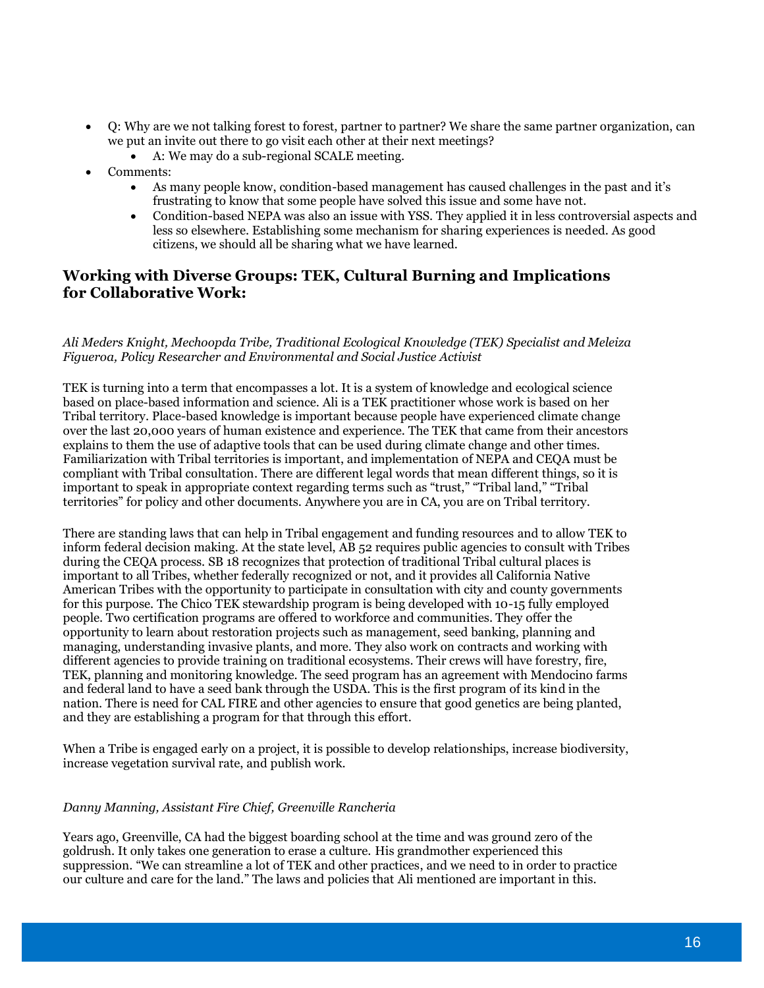- Q: Why are we not talking forest to forest, partner to partner? We share the same partner organization, can we put an invite out there to go visit each other at their next meetings?
	- A: We may do a sub-regional SCALE meeting.
- Comments:
	- As many people know, condition-based management has caused challenges in the past and it's frustrating to know that some people have solved this issue and some have not.
	- Condition-based NEPA was also an issue with YSS. They applied it in less controversial aspects and less so elsewhere. Establishing some mechanism for sharing experiences is needed. As good citizens, we should all be sharing what we have learned.

## **Working with Diverse Groups: TEK, Cultural Burning and Implications for Collaborative Work:**

#### *Ali Meders Knight, Mechoopda Tribe, Traditional Ecological Knowledge (TEK) Specialist and Meleiza Figueroa, Policy Researcher and Environmental and Social Justice Activist*

TEK is turning into a term that encompasses a lot. It is a system of knowledge and ecological science based on place-based information and science. Ali is a TEK practitioner whose work is based on her Tribal territory. Place-based knowledge is important because people have experienced climate change over the last 20,000 years of human existence and experience. The TEK that came from their ancestors explains to them the use of adaptive tools that can be used during climate change and other times. Familiarization with Tribal territories is important, and implementation of NEPA and CEQA must be compliant with Tribal consultation. There are different legal words that mean different things, so it is important to speak in appropriate context regarding terms such as "trust," "Tribal land," "Tribal territories" for policy and other documents. Anywhere you are in CA, you are on Tribal territory.

There are standing laws that can help in Tribal engagement and funding resources and to allow TEK to inform federal decision making. At the state level, AB 52 requires public agencies to consult with Tribes during the CEQA process. SB 18 recognizes that protection of traditional Tribal cultural places is important to all Tribes, whether federally recognized or not, and it provides all California Native American Tribes with the opportunity to participate in consultation with city and county governments for this purpose. The Chico TEK stewardship program is being developed with 10-15 fully employed people. Two certification programs are offered to workforce and communities. They offer the opportunity to learn about restoration projects such as management, seed banking, planning and managing, understanding invasive plants, and more. They also work on contracts and working with different agencies to provide training on traditional ecosystems. Their crews will have forestry, fire, TEK, planning and monitoring knowledge. The seed program has an agreement with Mendocino farms and federal land to have a seed bank through the USDA. This is the first program of its kind in the nation. There is need for CAL FIRE and other agencies to ensure that good genetics are being planted, and they are establishing a program for that through this effort.

When a Tribe is engaged early on a project, it is possible to develop relationships, increase biodiversity, increase vegetation survival rate, and publish work.

#### *Danny Manning, Assistant Fire Chief, Greenville Rancheria*

Years ago, Greenville, CA had the biggest boarding school at the time and was ground zero of the goldrush. It only takes one generation to erase a culture. His grandmother experienced this suppression. "We can streamline a lot of TEK and other practices, and we need to in order to practice our culture and care for the land." The laws and policies that Ali mentioned are important in this.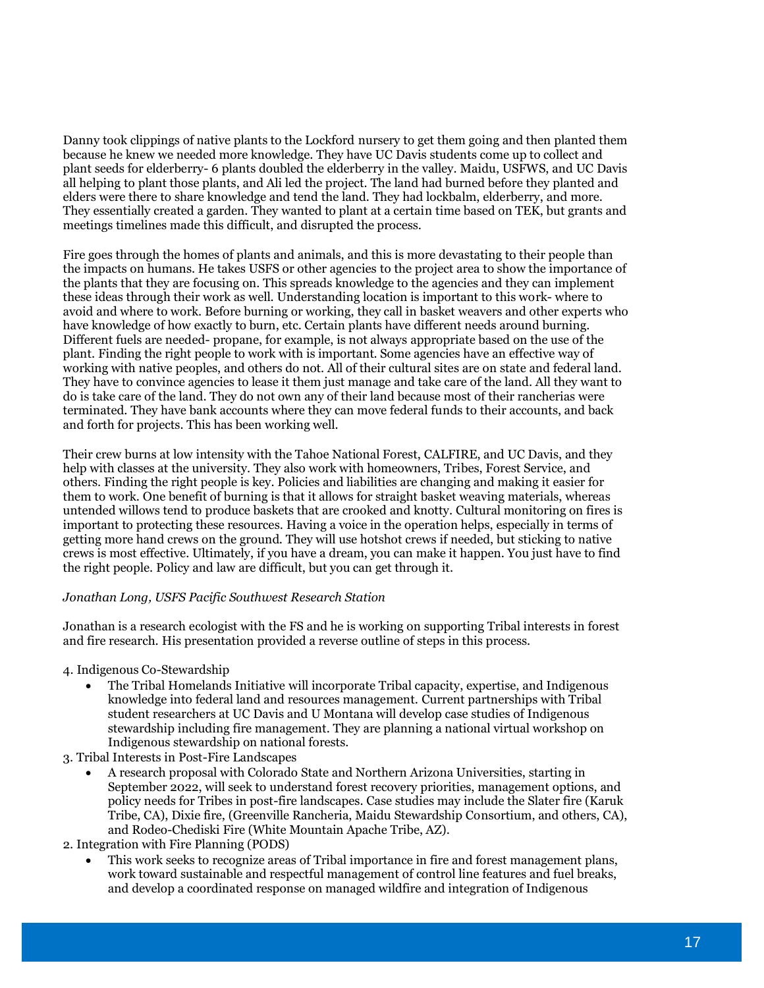Danny took clippings of native plants to the Lockford nursery to get them going and then planted them because he knew we needed more knowledge. They have UC Davis students come up to collect and plant seeds for elderberry- 6 plants doubled the elderberry in the valley. Maidu, USFWS, and UC Davis all helping to plant those plants, and Ali led the project. The land had burned before they planted and elders were there to share knowledge and tend the land. They had lockbalm, elderberry, and more. They essentially created a garden. They wanted to plant at a certain time based on TEK, but grants and meetings timelines made this difficult, and disrupted the process.

Fire goes through the homes of plants and animals, and this is more devastating to their people than the impacts on humans. He takes USFS or other agencies to the project area to show the importance of the plants that they are focusing on. This spreads knowledge to the agencies and they can implement these ideas through their work as well. Understanding location is important to this work- where to avoid and where to work. Before burning or working, they call in basket weavers and other experts who have knowledge of how exactly to burn, etc. Certain plants have different needs around burning. Different fuels are needed- propane, for example, is not always appropriate based on the use of the plant. Finding the right people to work with is important. Some agencies have an effective way of working with native peoples, and others do not. All of their cultural sites are on state and federal land. They have to convince agencies to lease it them just manage and take care of the land. All they want to do is take care of the land. They do not own any of their land because most of their rancherias were terminated. They have bank accounts where they can move federal funds to their accounts, and back and forth for projects. This has been working well.

Their crew burns at low intensity with the Tahoe National Forest, CALFIRE, and UC Davis, and they help with classes at the university. They also work with homeowners, Tribes, Forest Service, and others. Finding the right people is key. Policies and liabilities are changing and making it easier for them to work. One benefit of burning is that it allows for straight basket weaving materials, whereas untended willows tend to produce baskets that are crooked and knotty. Cultural monitoring on fires is important to protecting these resources. Having a voice in the operation helps, especially in terms of getting more hand crews on the ground. They will use hotshot crews if needed, but sticking to native crews is most effective. Ultimately, if you have a dream, you can make it happen. You just have to find the right people. Policy and law are difficult, but you can get through it.

#### *Jonathan Long, USFS Pacific Southwest Research Station*

Jonathan is a research ecologist with the FS and he is working on supporting Tribal interests in forest and fire research. His presentation provided a reverse outline of steps in this process.

- 4. Indigenous Co-Stewardship
	- The Tribal Homelands Initiative will incorporate Tribal capacity, expertise, and Indigenous knowledge into federal land and resources management. Current partnerships with Tribal student researchers at UC Davis and U Montana will develop case studies of Indigenous stewardship including fire management. They are planning a national virtual workshop on Indigenous stewardship on national forests.
- 3. Tribal Interests in Post-Fire Landscapes
	- A research proposal with Colorado State and Northern Arizona Universities, starting in September 2022, will seek to understand forest recovery priorities, management options, and policy needs for Tribes in post-fire landscapes. Case studies may include the Slater fire (Karuk Tribe, CA), Dixie fire, (Greenville Rancheria, Maidu Stewardship Consortium, and others, CA), and Rodeo-Chediski Fire (White Mountain Apache Tribe, AZ).

2. Integration with Fire Planning (PODS)

• This work seeks to recognize areas of Tribal importance in fire and forest management plans, work toward sustainable and respectful management of control line features and fuel breaks, and develop a coordinated response on managed wildfire and integration of Indigenous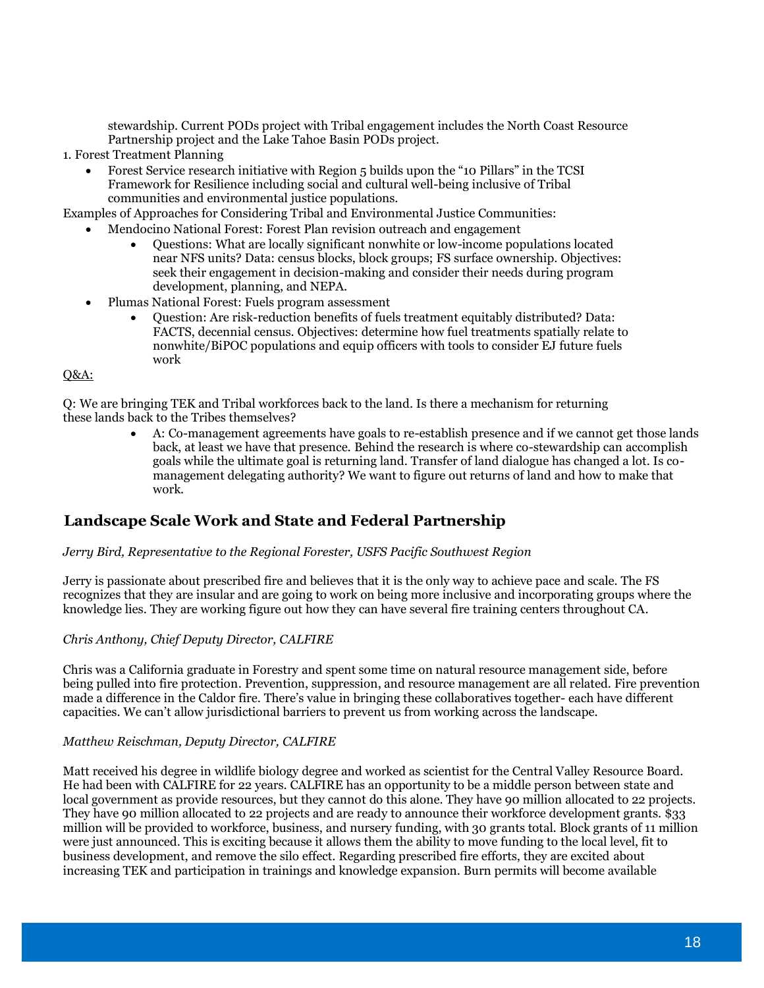stewardship. Current PODs project with Tribal engagement includes the North Coast Resource Partnership project and the Lake Tahoe Basin PODs project.

- 1. Forest Treatment Planning
	- Forest Service research initiative with Region 5 builds upon the "10 Pillars" in the TCSI Framework for Resilience including social and cultural well-being inclusive of Tribal communities and environmental justice populations.

Examples of Approaches for Considering Tribal and Environmental Justice Communities:

- Mendocino National Forest: Forest Plan revision outreach and engagement
	- Questions: What are locally significant nonwhite or low-income populations located near NFS units? Data: census blocks, block groups; FS surface ownership. Objectives: seek their engagement in decision-making and consider their needs during program development, planning, and NEPA.
	- Plumas National Forest: Fuels program assessment
		- Question: Are risk-reduction benefits of fuels treatment equitably distributed? Data: FACTS, decennial census. Objectives: determine how fuel treatments spatially relate to nonwhite/BiPOC populations and equip officers with tools to consider EJ future fuels work

#### Q&A:

Q: We are bringing TEK and Tribal workforces back to the land. Is there a mechanism for returning these lands back to the Tribes themselves?

> • A: Co-management agreements have goals to re-establish presence and if we cannot get those lands back, at least we have that presence. Behind the research is where co-stewardship can accomplish goals while the ultimate goal is returning land. Transfer of land dialogue has changed a lot. Is comanagement delegating authority? We want to figure out returns of land and how to make that work.

## **Landscape Scale Work and State and Federal Partnership**

#### *Jerry Bird, Representative to the Regional Forester, USFS Pacific Southwest Region*

Jerry is passionate about prescribed fire and believes that it is the only way to achieve pace and scale. The FS recognizes that they are insular and are going to work on being more inclusive and incorporating groups where the knowledge lies. They are working figure out how they can have several fire training centers throughout CA.

#### *Chris Anthony, Chief Deputy Director, CALFIRE*

Chris was a California graduate in Forestry and spent some time on natural resource management side, before being pulled into fire protection. Prevention, suppression, and resource management are all related. Fire prevention made a difference in the Caldor fire. There's value in bringing these collaboratives together- each have different capacities. We can't allow jurisdictional barriers to prevent us from working across the landscape.

#### *Matthew Reischman, Deputy Director, CALFIRE*

Matt received his degree in wildlife biology degree and worked as scientist for the Central Valley Resource Board. He had been with CALFIRE for 22 years. CALFIRE has an opportunity to be a middle person between state and local government as provide resources, but they cannot do this alone. They have 90 million allocated to 22 projects. They have 90 million allocated to 22 projects and are ready to announce their workforce development grants. \$33 million will be provided to workforce, business, and nursery funding, with 30 grants total. Block grants of 11 million were just announced. This is exciting because it allows them the ability to move funding to the local level, fit to business development, and remove the silo effect. Regarding prescribed fire efforts, they are excited about increasing TEK and participation in trainings and knowledge expansion. Burn permits will become available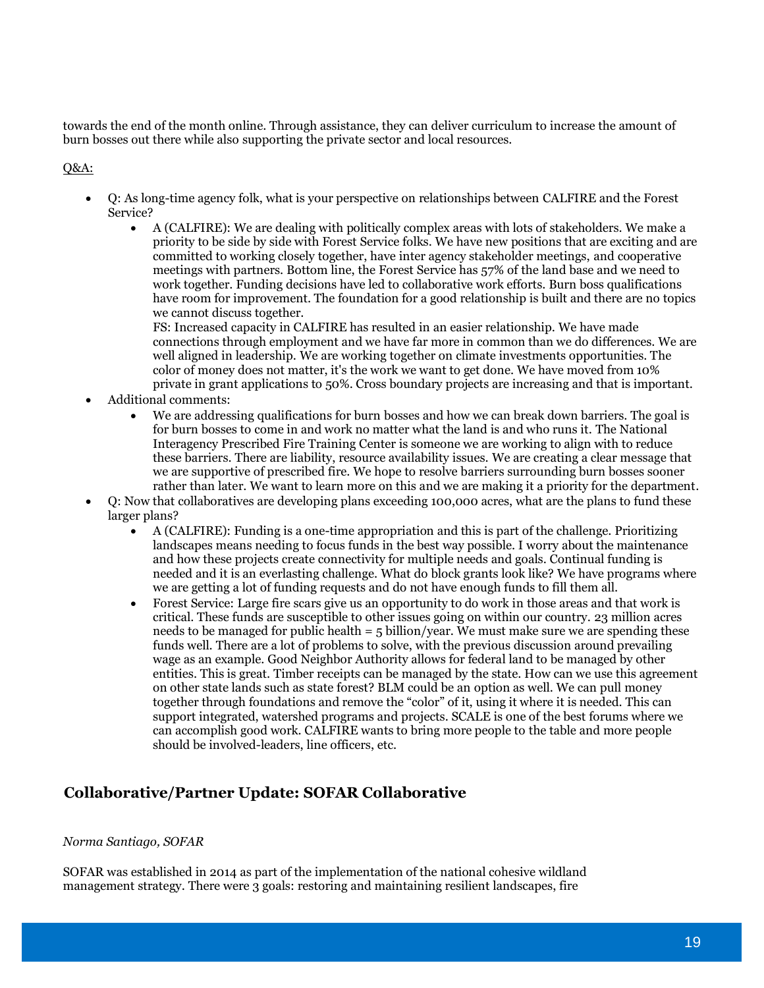towards the end of the month online. Through assistance, they can deliver curriculum to increase the amount of burn bosses out there while also supporting the private sector and local resources.

#### Q&A:

- Q: As long-time agency folk, what is your perspective on relationships between CALFIRE and the Forest Service?
	- A (CALFIRE): We are dealing with politically complex areas with lots of stakeholders. We make a priority to be side by side with Forest Service folks. We have new positions that are exciting and are committed to working closely together, have inter agency stakeholder meetings, and cooperative meetings with partners. Bottom line, the Forest Service has 57% of the land base and we need to work together. Funding decisions have led to collaborative work efforts. Burn boss qualifications have room for improvement. The foundation for a good relationship is built and there are no topics we cannot discuss together.

FS: Increased capacity in CALFIRE has resulted in an easier relationship. We have made connections through employment and we have far more in common than we do differences. We are well aligned in leadership. We are working together on climate investments opportunities. The color of money does not matter, it's the work we want to get done. We have moved from 10% private in grant applications to 50%. Cross boundary projects are increasing and that is important.

- Additional comments:
	- We are addressing qualifications for burn bosses and how we can break down barriers. The goal is for burn bosses to come in and work no matter what the land is and who runs it. The National Interagency Prescribed Fire Training Center is someone we are working to align with to reduce these barriers. There are liability, resource availability issues. We are creating a clear message that we are supportive of prescribed fire. We hope to resolve barriers surrounding burn bosses sooner rather than later. We want to learn more on this and we are making it a priority for the department.
- Q: Now that collaboratives are developing plans exceeding 100,000 acres, what are the plans to fund these larger plans?
	- A (CALFIRE): Funding is a one-time appropriation and this is part of the challenge. Prioritizing landscapes means needing to focus funds in the best way possible. I worry about the maintenance and how these projects create connectivity for multiple needs and goals. Continual funding is needed and it is an everlasting challenge. What do block grants look like? We have programs where we are getting a lot of funding requests and do not have enough funds to fill them all.
	- Forest Service: Large fire scars give us an opportunity to do work in those areas and that work is critical. These funds are susceptible to other issues going on within our country. 23 million acres needs to be managed for public health  $=$  5 billion/year. We must make sure we are spending these funds well. There are a lot of problems to solve, with the previous discussion around prevailing wage as an example. Good Neighbor Authority allows for federal land to be managed by other entities. This is great. Timber receipts can be managed by the state. How can we use this agreement on other state lands such as state forest? BLM could be an option as well. We can pull money together through foundations and remove the "color" of it, using it where it is needed. This can support integrated, watershed programs and projects. SCALE is one of the best forums where we can accomplish good work. CALFIRE wants to bring more people to the table and more people should be involved-leaders, line officers, etc.

## **Collaborative/Partner Update: SOFAR Collaborative**

#### *Norma Santiago, SOFAR*

SOFAR was established in 2014 as part of the implementation of the national cohesive wildland management strategy. There were 3 goals: restoring and maintaining resilient landscapes, fire